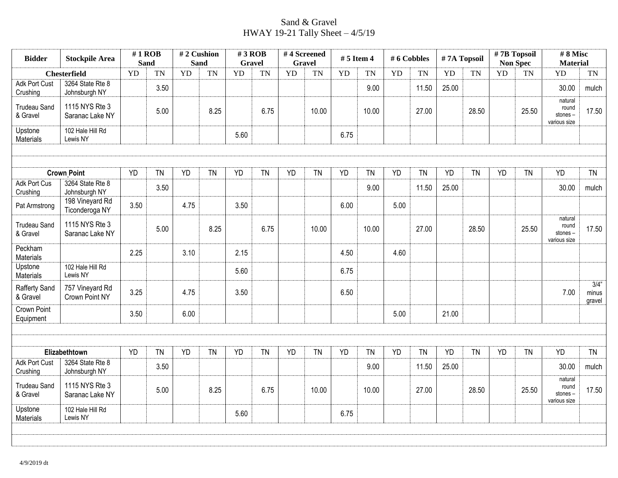## Sand & Gravel HWAY 19-21 Tally Sheet – 4/5/19

| <b>Bidder</b>                    | <b>Stockpile Area</b>             |           | $#1$ ROB<br><b>Sand</b> |           | #2 Cushion<br><b>Sand</b> |           | $#3$ ROB<br><b>Gravel</b> |           | #4 Screened<br><b>Gravel</b> |           | $# 5$ Item 4 |           | # 6 Cobbles |           | #7A Topsoil | #7B Topsoil<br><b>Non Spec</b> |           | #8 Misc<br><b>Material</b>                  |                            |
|----------------------------------|-----------------------------------|-----------|-------------------------|-----------|---------------------------|-----------|---------------------------|-----------|------------------------------|-----------|--------------|-----------|-------------|-----------|-------------|--------------------------------|-----------|---------------------------------------------|----------------------------|
|                                  | <b>Chesterfield</b>               | YD        | <b>TN</b>               | <b>YD</b> | <b>TN</b>                 | YD        | <b>TN</b>                 | <b>YD</b> | <b>TN</b>                    | <b>YD</b> | <b>TN</b>    | <b>YD</b> | <b>TN</b>   | YD        | <b>TN</b>   | YD                             | <b>TN</b> | YD                                          | TN                         |
| <b>Adk Port Cust</b><br>Crushing | 3264 State Rte 8<br>Johnsburgh NY |           | 3.50                    |           |                           |           |                           |           |                              |           | 9.00         |           | 11.50       | 25.00     |             |                                |           | 30.00                                       | mulch                      |
| <b>Trudeau Sand</b><br>& Gravel  | 1115 NYS Rte 3<br>Saranac Lake NY |           | 5.00                    |           | 8.25                      |           | 6.75                      |           | 10.00                        |           | 10.00        |           | 27.00       |           | 28.50       |                                | 25.50     | natural<br>round<br>stones-<br>various size | 17.50                      |
| Upstone<br>Materials             | 102 Hale Hill Rd<br>Lewis NY      |           |                         |           |                           | 5.60      |                           |           |                              | 6.75      |              |           |             |           |             |                                |           |                                             |                            |
|                                  |                                   |           |                         |           |                           |           |                           |           |                              |           |              |           |             |           |             |                                |           |                                             |                            |
|                                  | <b>Crown Point</b>                | <b>YD</b> | <b>TN</b>               | <b>YD</b> | <b>TN</b>                 | <b>YD</b> | <b>TN</b>                 | <b>YD</b> | <b>TN</b>                    | <b>YD</b> | <b>TN</b>    | <b>YD</b> | <b>TN</b>   | <b>YD</b> | <b>TN</b>   | <b>YD</b>                      | <b>TN</b> | <b>YD</b>                                   | <b>TN</b>                  |
| <b>Adk Port Cus</b><br>Crushing  | 3264 State Rte 8<br>Johnsburgh NY |           | 3.50                    |           |                           |           |                           |           |                              |           | 9.00         |           | 11.50       | 25.00     |             |                                |           | 30.00                                       | mulch                      |
| Pat Armstrong                    | 198 Vineyard Rd<br>Ticonderoga NY | 3.50      |                         | 4.75      |                           | 3.50      |                           |           |                              | 6.00      |              | 5.00      |             |           |             |                                |           |                                             |                            |
| <b>Trudeau Sand</b><br>& Gravel  | 1115 NYS Rte 3<br>Saranac Lake NY |           | 5.00                    |           | 8.25                      |           | 6.75                      |           | 10.00                        |           | 10.00        |           | 27.00       |           | 28.50       |                                | 25.50     | natural<br>round<br>stones-<br>various size | 17.50                      |
| Peckham<br>Materials             |                                   | 2.25      |                         | 3.10      |                           | 2.15      |                           |           |                              | 4.50      |              | 4.60      |             |           |             |                                |           |                                             |                            |
| Upstone<br>Materials             | 102 Hale Hill Rd<br>Lewis NY      |           |                         |           |                           | 5.60      |                           |           |                              | 6.75      |              |           |             |           |             |                                |           |                                             |                            |
| Rafferty Sand<br>& Gravel        | 757 Vineyard Rd<br>Crown Point NY | 3.25      |                         | 4.75      |                           | 3.50      |                           |           |                              | 6.50      |              |           |             |           |             |                                |           | 7.00                                        | $3/4$ "<br>minus<br>gravel |
| <b>Crown Point</b><br>Equipment  |                                   | 3.50      |                         | 6.00      |                           |           |                           |           |                              |           |              | 5.00      |             | 21.00     |             |                                |           |                                             |                            |
|                                  |                                   |           |                         |           |                           |           |                           |           |                              |           |              |           |             |           |             |                                |           |                                             |                            |
|                                  | Elizabethtown                     | <b>YD</b> | <b>TN</b>               | <b>YD</b> | <b>TN</b>                 | <b>YD</b> | <b>TN</b>                 | <b>YD</b> | <b>TN</b>                    | <b>YD</b> | <b>TN</b>    | <b>YD</b> | <b>TN</b>   | <b>YD</b> | <b>TN</b>   | <b>YD</b>                      | <b>TN</b> | <b>YD</b>                                   | <b>TN</b>                  |
| Adk Port Cust<br>Crushing        | 3264 State Rte 8<br>Johnsburgh NY |           | 3.50                    |           |                           |           |                           |           |                              |           | 9.00         |           | 11.50       | 25.00     |             |                                |           | 30.00                                       | mulch                      |
| <b>Trudeau Sand</b><br>& Gravel  | 1115 NYS Rte 3<br>Saranac Lake NY |           | 5.00                    |           | 8.25                      |           | 6.75                      |           | 10.00                        |           | 10.00        |           | 27.00       |           | 28.50       |                                | 25.50     | natural<br>round<br>stones-<br>various size | 17.50                      |
| Upstone<br>Materials             | 102 Hale Hill Rd<br>Lewis NY      |           |                         |           |                           | 5.60      |                           |           |                              | 6.75      |              |           |             |           |             |                                |           |                                             |                            |
|                                  |                                   |           |                         |           |                           |           |                           |           |                              |           |              |           |             |           |             |                                |           |                                             |                            |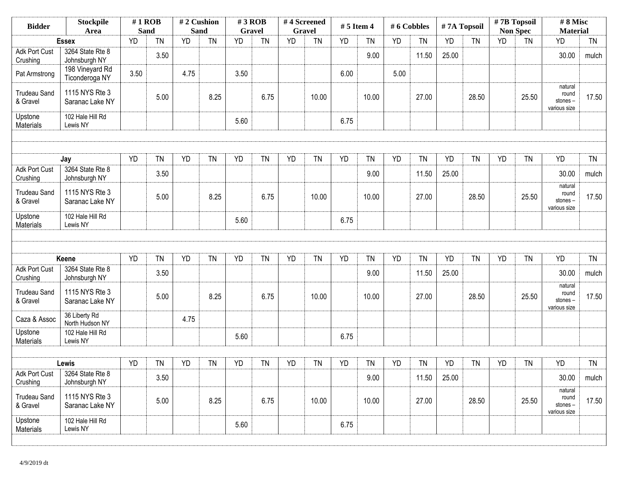| <b>Stockpile</b><br><b>Bidder</b><br>Area |                                   | $#1$ ROB<br><b>Sand</b> |           | #2 Cushion<br><b>Sand</b> |           | #3 ROB<br><b>Gravel</b> |           |           | #4 Screened<br><b>Gravel</b> | $# 5$ Item 4 |           | #6 Cobbles |           | #7A Topsoil |           | #7B Topsoil | <b>Non Spec</b> | #8 Misc<br><b>Material</b>                  |           |
|-------------------------------------------|-----------------------------------|-------------------------|-----------|---------------------------|-----------|-------------------------|-----------|-----------|------------------------------|--------------|-----------|------------|-----------|-------------|-----------|-------------|-----------------|---------------------------------------------|-----------|
|                                           | <b>Essex</b>                      | <b>YD</b>               | <b>TN</b> | <b>YD</b>                 | TN        | <b>YD</b>               | <b>TN</b> | <b>YD</b> | <b>TN</b>                    | YD           | <b>TN</b> | YD         | <b>TN</b> | <b>YD</b>   | <b>TN</b> | <b>YD</b>   | <b>TN</b>       | YD                                          | <b>TN</b> |
| <b>Adk Port Cust</b><br>Crushing          | 3264 State Rte 8<br>Johnsburgh NY |                         | 3.50      |                           |           |                         |           |           |                              |              | 9.00      |            | 11.50     | 25.00       |           |             |                 | 30.00                                       | mulch     |
| Pat Armstrong                             | 198 Vineyard Rd<br>Ticonderoga NY | 3.50                    |           | 4.75                      |           | 3.50                    |           |           |                              | 6.00         |           | 5.00       |           |             |           |             |                 |                                             |           |
| <b>Trudeau Sand</b><br>& Gravel           | 1115 NYS Rte 3<br>Saranac Lake NY |                         | 5.00      |                           | 8.25      |                         | 6.75      |           | 10.00                        |              | 10.00     |            | 27.00     |             | 28.50     |             | 25.50           | natural<br>round<br>stones-<br>various size | 17.50     |
| Upstone<br>Materials                      | 102 Hale Hill Rd<br>Lewis NY      |                         |           |                           |           | 5.60                    |           |           |                              | 6.75         |           |            |           |             |           |             |                 |                                             |           |
|                                           |                                   |                         |           |                           |           |                         |           |           |                              |              |           |            |           |             |           |             |                 |                                             |           |
|                                           | Jay                               | <b>YD</b>               | <b>TN</b> | YD                        | TN        | <b>YD</b>               | <b>TN</b> | YD        | <b>TN</b>                    | <b>YD</b>    | TN        | <b>YD</b>  | <b>TN</b> | <b>YD</b>   | <b>TN</b> | <b>YD</b>   | <b>TN</b>       | YD                                          | <b>TN</b> |
| <b>Adk Port Cust</b><br>Crushing          | 3264 State Rte 8<br>Johnsburgh NY |                         | 3.50      |                           |           |                         |           |           |                              |              | 9.00      |            | 11.50     | 25.00       |           |             |                 | 30.00                                       | mulch     |
| <b>Trudeau Sand</b><br>& Gravel           | 1115 NYS Rte 3<br>Saranac Lake NY |                         | 5.00      |                           | 8.25      |                         | 6.75      |           | 10.00                        |              | 10.00     |            | 27.00     |             | 28.50     |             | 25.50           | natural<br>round<br>stones-<br>various size | 17.50     |
| Upstone<br>Materials                      | 102 Hale Hill Rd<br>Lewis NY      |                         |           |                           |           | 5.60                    |           |           |                              | 6.75         |           |            |           |             |           |             |                 |                                             |           |
|                                           |                                   |                         |           |                           |           |                         |           |           |                              |              |           |            |           |             |           |             |                 |                                             |           |
|                                           | Keene                             | <b>YD</b>               | <b>TN</b> | YD                        | <b>TN</b> | <b>YD</b>               | <b>TN</b> | <b>YD</b> | <b>TN</b>                    | <b>YD</b>    | <b>TN</b> | YD         | <b>TN</b> | YD          | <b>TN</b> | <b>YD</b>   | <b>TN</b>       | <b>YD</b>                                   | <b>TN</b> |
| <b>Adk Port Cust</b><br>Crushing          | 3264 State Rte 8<br>Johnsburgh NY |                         | 3.50      |                           |           |                         |           |           |                              |              | 9.00      |            | 11.50     | 25.00       |           |             |                 | 30.00                                       | mulch     |
| <b>Trudeau Sand</b><br>& Gravel           | 1115 NYS Rte 3<br>Saranac Lake NY |                         | 5.00      |                           | 8.25      |                         | 6.75      |           | 10.00                        |              | 10.00     |            | 27.00     |             | 28.50     |             | 25.50           | natural<br>round<br>stones-<br>various size | 17.50     |
| Caza & Assoc                              | 36 Liberty Rd<br>North Hudson NY  |                         |           | 4.75                      |           |                         |           |           |                              |              |           |            |           |             |           |             |                 |                                             |           |
| Upstone<br>Materials                      | 102 Hale Hill Rd<br>Lewis NY      |                         |           |                           |           | 5.60                    |           |           |                              | 6.75         |           |            |           |             |           |             |                 |                                             |           |
|                                           |                                   |                         |           |                           |           |                         |           |           |                              |              |           |            |           |             |           |             |                 |                                             |           |
|                                           | Lewis                             | YD                      | <b>TN</b> | YD                        | <b>TN</b> | YD                      | TN        | YD        | <b>TN</b>                    | YD           | <b>TN</b> | YD         | <b>TN</b> | YD          | <b>TN</b> | YD          | <b>TN</b>       | YD                                          | <b>TN</b> |
| Adk Port Cust<br>Crushing                 | 3264 State Rte 8<br>Johnsburgh NY |                         | 3.50      |                           |           |                         |           |           |                              |              | 9.00      |            | 11.50     | 25.00       |           |             |                 | 30.00                                       | mulch     |
| <b>Trudeau Sand</b><br>& Gravel           | 1115 NYS Rte 3<br>Saranac Lake NY |                         | 5.00      |                           | 8.25      |                         | 6.75      |           | 10.00                        |              | 10.00     |            | 27.00     |             | 28.50     |             | 25.50           | natural<br>round<br>stones-<br>various size | 17.50     |
| Upstone<br>Materials                      | 102 Hale Hill Rd<br>Lewis NY      |                         |           |                           |           | 5.60                    |           |           |                              | 6.75         |           |            |           |             |           |             |                 |                                             |           |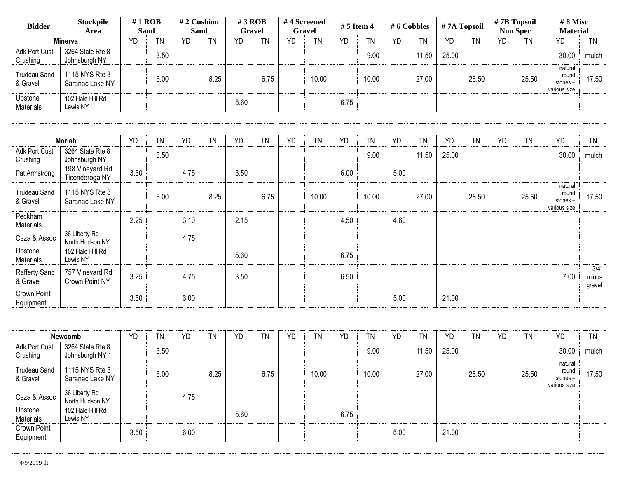| <b>Stockpile</b><br><b>Bidder</b><br>Area |                                     | $#1$ ROB<br><b>Sand</b> |           | #2 Cushion<br><b>Sand</b> |           | $#3$ ROB<br><b>Gravel</b> |           | #4 Screened<br><b>Gravel</b> |           | # 5 Item 4 |           | # 6 Cobbles |           | #7A Topsoil |           | #7B Topsoil<br><b>Non Spec</b> |           | #8 Misc<br><b>Material</b>                  |                            |
|-------------------------------------------|-------------------------------------|-------------------------|-----------|---------------------------|-----------|---------------------------|-----------|------------------------------|-----------|------------|-----------|-------------|-----------|-------------|-----------|--------------------------------|-----------|---------------------------------------------|----------------------------|
|                                           | Minerva                             | <b>YD</b>               | <b>TN</b> | <b>YD</b>                 | <b>TN</b> | <b>YD</b>                 | <b>TN</b> | <b>YD</b>                    | <b>TN</b> | <b>YD</b>  | <b>TN</b> | <b>YD</b>   | <b>TN</b> | YD          | <b>TN</b> | <b>YD</b>                      | <b>TN</b> | <b>YD</b>                                   | <b>TN</b>                  |
| <b>Adk Port Cust</b><br>Crushing          | 3264 State Rte 8<br>Johnsburgh NY   |                         | 3.50      |                           |           |                           |           |                              |           |            | 9.00      |             | 11.50     | 25.00       |           |                                |           | 30.00                                       | mulch                      |
| <b>Trudeau Sand</b><br>& Gravel           | 1115 NYS Rte 3<br>Saranac Lake NY   |                         | 5.00      |                           | 8.25      |                           | 6.75      |                              | 10.00     |            | 10.00     |             | 27.00     |             | 28.50     |                                | 25.50     | natural<br>round<br>stones-<br>various size | 17.50                      |
| Upstone<br>Materials                      | 102 Hale Hill Rd<br>Lewis NY        |                         |           |                           |           | 5.60                      |           |                              |           | 6.75       |           |             |           |             |           |                                |           |                                             |                            |
|                                           |                                     |                         |           |                           |           |                           |           |                              |           |            |           |             |           |             |           |                                |           |                                             |                            |
|                                           | <b>Moriah</b>                       | <b>YD</b>               | TN        | <b>YD</b>                 | <b>TN</b> | <b>YD</b>                 | <b>TN</b> | <b>YD</b>                    | <b>TN</b> | <b>YD</b>  | <b>TN</b> | <b>YD</b>   | <b>TN</b> | <b>YD</b>   | <b>TN</b> | <b>YD</b>                      | <b>TN</b> | YD                                          | <b>TN</b>                  |
| Adk Port Cust<br>Crushing                 | 3264 State Rte 8<br>Johnsburgh NY   |                         | 3.50      |                           |           |                           |           |                              |           |            | 9.00      |             | 11.50     | 25.00       |           |                                |           | 30.00                                       | mulch                      |
| Pat Armstrong                             | 198 Vineyard Rd<br>Ticonderoga NY   | 3.50                    |           | 4.75                      |           | 3.50                      |           |                              |           | 6.00       |           | 5.00        |           |             |           |                                |           |                                             |                            |
| <b>Trudeau Sand</b><br>& Gravel           | 1115 NYS Rte 3<br>Saranac Lake NY   |                         | 5.00      |                           | 8.25      |                           | 6.75      |                              | 10.00     |            | 10.00     |             | 27.00     |             | 28.50     |                                | 25.50     | natural<br>round<br>stones-<br>various size | 17.50                      |
| Peckham<br>Materials                      |                                     | 2.25                    |           | 3.10                      |           | 2.15                      |           |                              |           | 4.50       |           | 4.60        |           |             |           |                                |           |                                             |                            |
| Caza & Assoc                              | 36 Liberty Rd<br>North Hudson NY    |                         |           | 4.75                      |           |                           |           |                              |           |            |           |             |           |             |           |                                |           |                                             |                            |
| Upstone<br>Materials                      | 102 Hale Hill Rd<br>Lewis NY        |                         |           |                           |           | 5.60                      |           |                              |           | 6.75       |           |             |           |             |           |                                |           |                                             |                            |
| <b>Rafferty Sand</b><br>& Gravel          | 757 Vineyard Rd<br>Crown Point NY   | 3.25                    |           | 4.75                      |           | 3.50                      |           |                              |           | 6.50       |           |             |           |             |           |                                |           | 7.00                                        | $3/4$ "<br>minus<br>gravel |
| Crown Point<br>Equipment                  |                                     | 3.50                    |           | 6.00                      |           |                           |           |                              |           |            |           | 5.00        |           | 21.00       |           |                                |           |                                             |                            |
|                                           |                                     |                         |           |                           |           |                           |           |                              |           |            |           |             |           |             |           |                                |           |                                             |                            |
|                                           | Newcomb                             | <b>YD</b>               | TN        | <b>YD</b>                 | <b>TN</b> | <b>YD</b>                 | <b>TN</b> | YD                           | <b>TN</b> | <b>YD</b>  | <b>TN</b> | <b>YD</b>   | <b>TN</b> | YD          | <b>TN</b> | <b>YD</b>                      | <b>TN</b> | YD                                          | <b>TN</b>                  |
| <b>Adk Port Cust</b><br>Crushing          | 3264 State Rte 8<br>Johnsburgh NY 1 |                         | 3.50      |                           |           |                           |           |                              |           |            | 9.00      |             | 11.50     | 25.00       |           |                                |           | 30.00                                       | mulch                      |
| <b>Trudeau Sand</b><br>& Gravel           | 1115 NYS Rte 3<br>Saranac Lake NY   |                         | 5.00      |                           | 8.25      |                           | 6.75      |                              | 10.00     |            | 10.00     |             | 27.00     |             | 28.50     |                                | 25.50     | natural<br>round<br>stones-<br>various size | 17.50                      |
| Caza & Assoc                              | 36 Liberty Rd<br>North Hudson NY    |                         |           | 4.75                      |           |                           |           |                              |           |            |           |             |           |             |           |                                |           |                                             |                            |
| Upstone<br>Materials                      | 102 Hale Hill Rd<br>Lewis NY        |                         |           |                           |           | 5.60                      |           |                              |           | 6.75       |           |             |           |             |           |                                |           |                                             |                            |
| Crown Point<br>Equipment                  |                                     | 3.50                    |           | 6.00                      |           |                           |           |                              |           |            |           | 5.00        |           | 21.00       |           |                                |           |                                             |                            |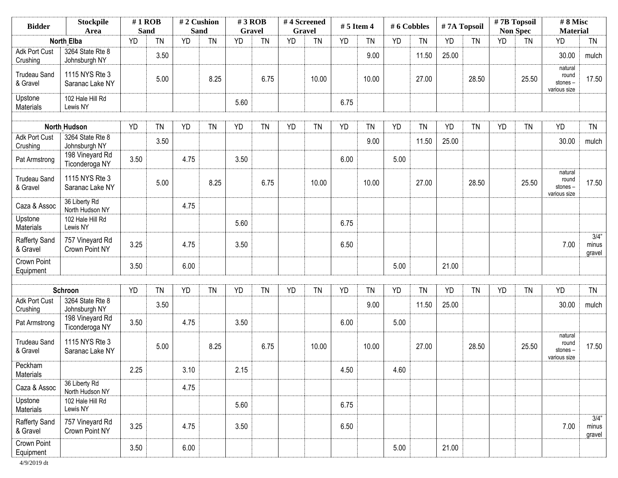| <b>Bidder</b>                    | <b>Stockpile</b><br>Area          | $#1$ ROB<br><b>Sand</b> |           | #2 Cushion<br>Sand |           | $#3$ ROB<br><b>Gravel</b> |           | #4 Screened | Gravel    | $# 5$ Item 4 |           | #6 Cobbles |           | #7A Topsoil |           |           | $# 7B$ Topsoil<br><b>Non Spec</b> | #8 Misc<br><b>Material</b>                  |                            |
|----------------------------------|-----------------------------------|-------------------------|-----------|--------------------|-----------|---------------------------|-----------|-------------|-----------|--------------|-----------|------------|-----------|-------------|-----------|-----------|-----------------------------------|---------------------------------------------|----------------------------|
|                                  | <b>North Elba</b>                 | <b>YD</b>               | <b>TN</b> | <b>YD</b>          | <b>TN</b> | <b>YD</b>                 | <b>TN</b> | <b>YD</b>   | <b>TN</b> | <b>YD</b>    | <b>TN</b> | YD         | <b>TN</b> | <b>YD</b>   | <b>TN</b> | <b>YD</b> | <b>TN</b>                         | <b>YD</b>                                   | <b>TN</b>                  |
| <b>Adk Port Cust</b><br>Crushing | 3264 State Rte 8<br>Johnsburgh NY |                         | 3.50      |                    |           |                           |           |             |           |              | 9.00      |            | 11.50     | 25.00       |           |           |                                   | 30.00                                       | mulch                      |
| <b>Trudeau Sand</b><br>& Gravel  | 1115 NYS Rte 3<br>Saranac Lake NY |                         | 5.00      |                    | 8.25      |                           | 6.75      |             | 10.00     |              | 10.00     |            | 27.00     |             | 28.50     |           | 25.50                             | natural<br>round<br>stones-<br>various size | 17.50                      |
| Upstone<br>Materials             | 102 Hale Hill Rd<br>Lewis NY      |                         |           |                    |           | 5.60                      |           |             |           | 6.75         |           |            |           |             |           |           |                                   |                                             |                            |
|                                  | <b>North Hudson</b>               | <b>YD</b>               | <b>TN</b> | <b>YD</b>          | <b>TN</b> | <b>YD</b>                 | <b>TN</b> | <b>YD</b>   | <b>TN</b> | <b>YD</b>    | <b>TN</b> | <b>YD</b>  | <b>TN</b> | <b>YD</b>   | <b>TN</b> | <b>YD</b> | <b>TN</b>                         | <b>YD</b>                                   | <b>TN</b>                  |
| <b>Adk Port Cust</b><br>Crushing | 3264 State Rte 8<br>Johnsburgh NY |                         | 3.50      |                    |           |                           |           |             |           |              | 9.00      |            | 11.50     | 25.00       |           |           |                                   | 30.00                                       | mulch                      |
| Pat Armstrong                    | 198 Vineyard Rd<br>Ticonderoga NY | 3.50                    |           | 4.75               |           | 3.50                      |           |             |           | 6.00         |           | 5.00       |           |             |           |           |                                   |                                             |                            |
| <b>Trudeau Sand</b><br>& Gravel  | 1115 NYS Rte 3<br>Saranac Lake NY |                         | 5.00      |                    | 8.25      |                           | 6.75      |             | 10.00     |              | 10.00     |            | 27.00     |             | 28.50     |           | 25.50                             | natural<br>round<br>stones-<br>various size | 17.50                      |
| Caza & Assoc                     | 36 Liberty Rd<br>North Hudson NY  |                         |           | 4.75               |           |                           |           |             |           |              |           |            |           |             |           |           |                                   |                                             |                            |
| Upstone<br>Materials             | 102 Hale Hill Rd<br>Lewis NY      |                         |           |                    |           | 5.60                      |           |             |           | 6.75         |           |            |           |             |           |           |                                   |                                             |                            |
| Rafferty Sand<br>& Gravel        | 757 Vineyard Rd<br>Crown Point NY | 3.25                    |           | 4.75               |           | 3.50                      |           |             |           | 6.50         |           |            |           |             |           |           |                                   | 7.00                                        | $3/4$ "<br>minus<br>gravel |
| Crown Point<br>Equipment         |                                   | 3.50                    |           | 6.00               |           |                           |           |             |           |              |           | 5.00       |           | 21.00       |           |           |                                   |                                             |                            |
|                                  | Schroon                           | <b>YD</b>               | <b>TN</b> | <b>YD</b>          | <b>TN</b> | <b>YD</b>                 | <b>TN</b> | <b>YD</b>   | <b>TN</b> | <b>YD</b>    | <b>TN</b> | YD         | <b>TN</b> | <b>YD</b>   | <b>TN</b> | YD        | <b>TN</b>                         | <b>YD</b>                                   | <b>TN</b>                  |
| Adk Port Cust<br>Crushing        | 3264 State Rte 8<br>Johnsburgh NY |                         | 3.50      |                    |           |                           |           |             |           |              | 9.00      |            | 11.50     | 25.00       |           |           |                                   | 30.00                                       | mulch                      |
| Pat Armstrong                    | 198 Vineyard Rd<br>Ticonderoga NY | 3.50                    |           | 4.75               |           | 3.50                      |           |             |           | 6.00         |           | 5.00       |           |             |           |           |                                   |                                             |                            |
| <b>Trudeau Sand</b><br>& Gravel  | 1115 NYS Rte 3<br>Saranac Lake NY |                         | 5.00      |                    | 8.25      |                           | 6.75      |             | 10.00     |              | 10.00     |            | 27.00     |             | 28.50     |           | 25.50                             | natural<br>round<br>stones-<br>various size | 17.50                      |
| Peckham<br>Materials             |                                   | 2.25                    |           | 3.10               |           | 2.15                      |           |             |           | 4.50         |           | 4.60       |           |             |           |           |                                   |                                             |                            |
| Caza & Assoc                     | 36 Liberty Rd<br>North Hudson NY  |                         |           | 4.75               |           |                           |           |             |           |              |           |            |           |             |           |           |                                   |                                             |                            |
| Upstone<br>Materials             | 102 Hale Hill Rd<br>Lewis NY      |                         |           |                    |           | 5.60                      |           |             |           | 6.75         |           |            |           |             |           |           |                                   |                                             |                            |
| <b>Rafferty Sand</b><br>& Gravel | 757 Vineyard Rd<br>Crown Point NY | 3.25                    |           | 4.75               |           | 3.50                      |           |             |           | 6.50         |           |            |           |             |           |           |                                   | 7.00                                        | 3/4"<br>minus<br>gravel    |
| Crown Point<br>Equipment         |                                   | 3.50                    |           | 6.00               |           |                           |           |             |           |              |           | 5.00       |           | 21.00       |           |           |                                   |                                             |                            |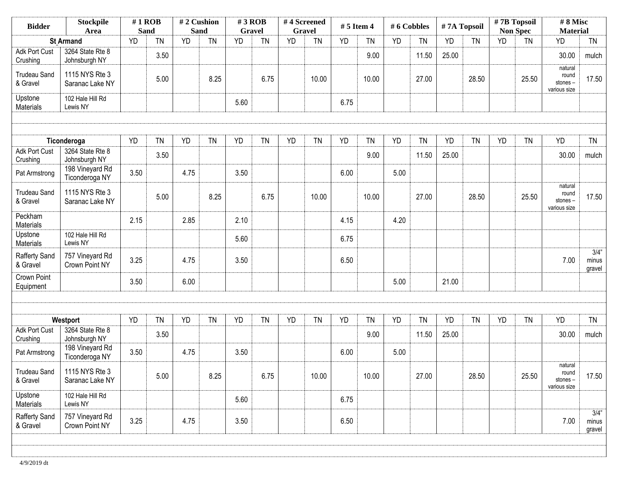| <b>Stockpile</b><br><b>Bidder</b><br>Area |                                   | $#1$ ROB<br><b>Sand</b> |           | #2 Cushion<br><b>Sand</b> |           | $#3$ ROB<br><b>Gravel</b> |           | #4 Screened<br>Gravel |           | # 5 Item 4 |           | # 6 Cobbles |           | #7A Topsoil |           | #7B Topsoil | <b>Non Spec</b> | #8 Misc<br><b>Material</b>                  |                            |
|-------------------------------------------|-----------------------------------|-------------------------|-----------|---------------------------|-----------|---------------------------|-----------|-----------------------|-----------|------------|-----------|-------------|-----------|-------------|-----------|-------------|-----------------|---------------------------------------------|----------------------------|
|                                           | <b>St Armand</b>                  | <b>YD</b>               | <b>TN</b> | YD                        | <b>TN</b> | <b>YD</b>                 | <b>TN</b> | <b>YD</b>             | <b>TN</b> | <b>YD</b>  | <b>TN</b> | YD          | <b>TN</b> | <b>YD</b>   | <b>TN</b> | <b>YD</b>   | <b>TN</b>       | <b>YD</b>                                   | <b>TN</b>                  |
| <b>Adk Port Cust</b><br>Crushing          | 3264 State Rte 8<br>Johnsburgh NY |                         | 3.50      |                           |           |                           |           |                       |           |            | 9.00      |             | 11.50     | 25.00       |           |             |                 | 30.00                                       | mulch                      |
| <b>Trudeau Sand</b><br>& Gravel           | 1115 NYS Rte 3<br>Saranac Lake NY |                         | 5.00      |                           | 8.25      |                           | 6.75      |                       | 10.00     |            | 10.00     |             | 27.00     |             | 28.50     |             | 25.50           | natural<br>round<br>stones-<br>various size | 17.50                      |
| Upstone<br>Materials                      | 102 Hale Hill Rd<br>Lewis NY      |                         |           |                           |           | 5.60                      |           |                       |           | 6.75       |           |             |           |             |           |             |                 |                                             |                            |
|                                           |                                   |                         |           |                           |           |                           |           |                       |           |            |           |             |           |             |           |             |                 |                                             |                            |
|                                           | Ticonderoga                       | <b>YD</b>               | <b>TN</b> | <b>YD</b>                 | <b>TN</b> | <b>YD</b>                 | <b>TN</b> | <b>YD</b>             | <b>TN</b> | <b>YD</b>  | <b>TN</b> | <b>YD</b>   | <b>TN</b> | <b>YD</b>   | <b>TN</b> | <b>YD</b>   | <b>TN</b>       | <b>YD</b>                                   | <b>TN</b>                  |
| Adk Port Cust<br>Crushing                 | 3264 State Rte 8<br>Johnsburgh NY |                         | 3.50      |                           |           |                           |           |                       |           |            | 9.00      |             | 11.50     | 25.00       |           |             |                 | 30.00                                       | mulch                      |
| Pat Armstrong                             | 198 Vineyard Rd<br>Ticonderoga NY | 3.50                    |           | 4.75                      |           | 3.50                      |           |                       |           | 6.00       |           | 5.00        |           |             |           |             |                 |                                             |                            |
| <b>Trudeau Sand</b><br>& Gravel           | 1115 NYS Rte 3<br>Saranac Lake NY |                         | 5.00      |                           | 8.25      |                           | 6.75      |                       | 10.00     |            | 10.00     |             | 27.00     |             | 28.50     |             | 25.50           | natural<br>round<br>stones-<br>various size | 17.50                      |
| Peckham<br>Materials                      |                                   | 2.15                    |           | 2.85                      |           | 2.10                      |           |                       |           | 4.15       |           | 4.20        |           |             |           |             |                 |                                             |                            |
| Upstone<br>Materials                      | 102 Hale Hill Rd<br>Lewis NY      |                         |           |                           |           | 5.60                      |           |                       |           | 6.75       |           |             |           |             |           |             |                 |                                             |                            |
| Rafferty Sand<br>& Gravel                 | 757 Vineyard Rd<br>Crown Point NY | 3.25                    |           | 4.75                      |           | 3.50                      |           |                       |           | 6.50       |           |             |           |             |           |             |                 | 7.00                                        | $3/4$ "<br>minus<br>gravel |
| Crown Point<br>Equipment                  |                                   | 3.50                    |           | 6.00                      |           |                           |           |                       |           |            |           | 5.00        |           | 21.00       |           |             |                 |                                             |                            |
|                                           |                                   |                         |           |                           |           |                           |           |                       |           |            |           |             |           |             |           |             |                 |                                             |                            |
|                                           | Westport                          | <b>YD</b>               | <b>TN</b> | YD                        | <b>TN</b> | YD                        | <b>TN</b> | <b>YD</b>             | <b>TN</b> | <b>YD</b>  | <b>TN</b> | <b>YD</b>   | <b>TN</b> | <b>YD</b>   | <b>TN</b> | <b>YD</b>   | <b>TN</b>       | <b>YD</b>                                   | <b>TN</b>                  |
| Adk Port Cust<br>Crushing                 | 3264 State Rte 8<br>Johnsburgh NY |                         | 3.50      |                           |           |                           |           |                       |           |            | 9.00      |             | 11.50     | 25.00       |           |             |                 | 30.00                                       | mulch                      |
| Pat Armstrong                             | 198 Vineyard Rd<br>Ticonderoga NY | 3.50                    |           | 4.75                      |           | 3.50                      |           |                       |           | 6.00       |           | 5.00        |           |             |           |             |                 |                                             |                            |
| <b>Trudeau Sand</b><br>& Gravel           | 1115 NYS Rte 3<br>Saranac Lake NY |                         | 5.00      |                           | 8.25      |                           | 6.75      |                       | 10.00     |            | 10.00     |             | 27.00     |             | 28.50     |             | 25.50           | natural<br>round<br>stones-<br>various size | 17.50                      |
| Upstone<br>Materials                      | 102 Hale Hill Rd<br>Lewis NY      |                         |           |                           |           | 5.60                      |           |                       |           | 6.75       |           |             |           |             |           |             |                 |                                             |                            |
| Rafferty Sand<br>& Gravel                 | 757 Vineyard Rd<br>Crown Point NY | 3.25                    |           | 4.75                      |           | 3.50                      |           |                       |           | 6.50       |           |             |           |             |           |             |                 | 7.00                                        | $3/4$ "<br>minus<br>gravel |